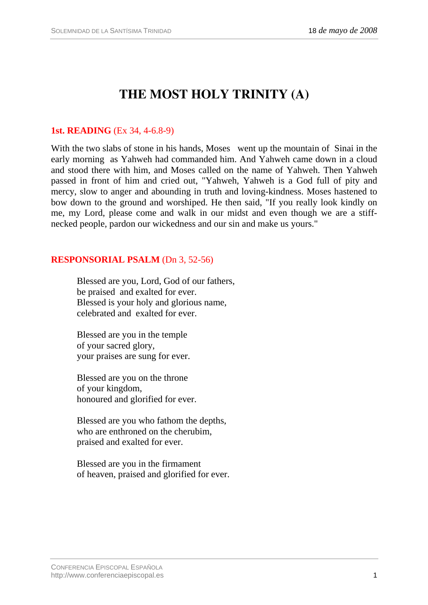# **THE MOST HOLY TRINITY (A)**

## **1st. READING** (Ex 34, 4-6.8-9)

With the two slabs of stone in his hands, Moses went up the mountain of Sinai in the early morning as Yahweh had commanded him. And Yahweh came down in a cloud and stood there with him, and Moses called on the name of Yahweh. Then Yahweh passed in front of him and cried out, "Yahweh, Yahweh is a God full of pity and mercy, slow to anger and abounding in truth and loving-kindness. Moses hastened to bow down to the ground and worshiped. He then said, "If you really look kindly on me, my Lord, please come and walk in our midst and even though we are a stiffnecked people, pardon our wickedness and our sin and make us yours."

## **RESPONSORIAL PSALM** (Dn 3, 52-56)

Blessed are you, Lord, God of our fathers, be praised and exalted for ever. Blessed is your holy and glorious name, celebrated and exalted for ever.

Blessed are you in the temple of your sacred glory, your praises are sung for ever.

Blessed are you on the throne of your kingdom, honoured and glorified for ever.

Blessed are you who fathom the depths, who are enthroned on the cherubim, praised and exalted for ever.

Blessed are you in the firmament of heaven, praised and glorified for ever.